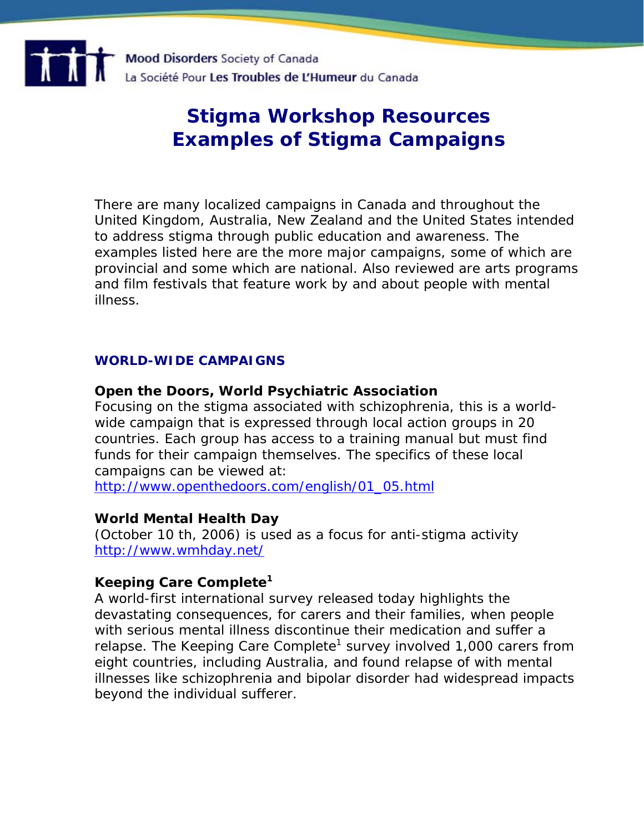

# **Stigma Workshop Resources Examples of Stigma Campaigns**

There are many localized campaigns in Canada and throughout the United Kingdom, Australia, New Zealand and the United States intended to address stigma through public education and awareness. The examples listed here are the more major campaigns, some of which are provincial and some which are national. Also reviewed are arts programs and film festivals that feature work by and about people with mental illness.

#### **WORLD-WIDE CAMPAIGNS**

#### **Open the Doors, World Psychiatric Association**

Focusing on the stigma associated with schizophrenia, this is a worldwide campaign that is expressed through local action groups in 20 countries. Each group has access to a training manual but must find funds for their campaign themselves. The specifics of these local campaigns can be viewed at:

[http://www.openthedoors.com/english/01\\_05.html](http://www.openthedoors.com/english/01_05.html)

#### **World Mental Health Day**

(October 10 th, 2006) is used as a focus for anti-stigma activity <http://www.wmhday.net/>

#### **Keeping Care Complete1**

A world-first international survey released today highlights the devastating consequences, for carers and their families, when people with serious mental illness discontinue their medication and suffer a relapse. The Keeping Care Complete<sup>1</sup> survey involved 1,000 carers from eight countries, including Australia, and found relapse of with mental illnesses like schizophrenia and bipolar disorder had widespread impacts beyond the individual sufferer.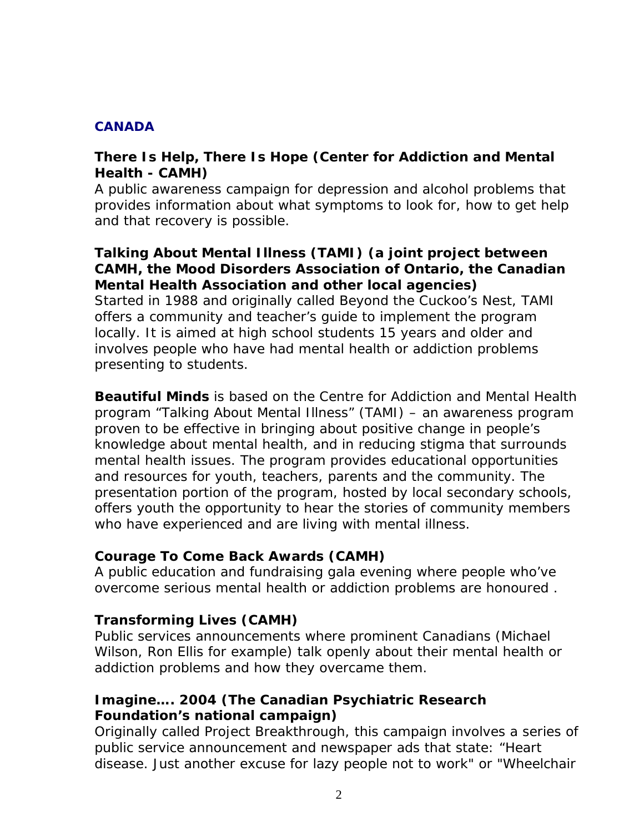#### **CANADA**

## **There Is Help, There Is Hope (Center for Addiction and Mental Health - CAMH)**

A public awareness campaign for depression and alcohol problems that provides information about what symptoms to look for, how to get help and that recovery is possible.

#### **Talking About Mental Illness (TAMI) (a joint project between CAMH, the Mood Disorders Association of Ontario, the Canadian Mental Health Association and other local agencies)**

Started in 1988 and originally called Beyond the Cuckoo's Nest, TAMI offers a community and teacher's guide to implement the program locally. It is aimed at high school students 15 years and older and involves people who have had mental health or addiction problems presenting to students.

**Beautiful Minds** is based on the Centre for Addiction and Mental Health program "Talking About Mental Illness" (TAMI) – an awareness program proven to be effective in bringing about positive change in people's knowledge about mental health, and in reducing stigma that surrounds mental health issues. The program provides educational opportunities and resources for youth, teachers, parents and the community. The presentation portion of the program, hosted by local secondary schools, offers youth the opportunity to hear the stories of community members who have experienced and are living with mental illness.

#### **Courage To Come Back Awards (CAMH)**

A public education and fundraising gala evening where people who've overcome serious mental health or addiction problems are honoured .

## **Transforming Lives (CAMH)**

Public services announcements where prominent Canadians (Michael Wilson, Ron Ellis for example) talk openly about their mental health or addiction problems and how they overcame them.

## **Imagine…. 2004 (The Canadian Psychiatric Research Foundation's national campaign)**

Originally called Project Breakthrough, this campaign involves a series of public service announcement and newspaper ads that state: "Heart disease. Just another excuse for lazy people not to work" or "Wheelchair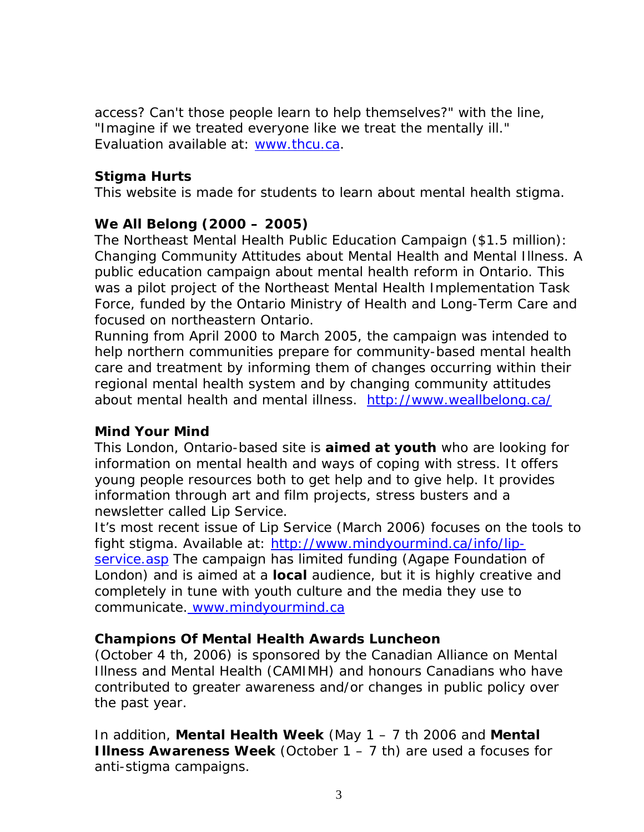access? Can't those people learn to help themselves?" with the line, "Imagine if we treated everyone like we treat the mentally ill." Evaluation available at: [www.thcu.ca](http://www.thcu.ca/infoandresources/publications/CaseStudy4.cprf.v1.02.pdf).

### **Stigma Hurts**

This website is made for students to learn about mental health stigma.

## **We All Belong (2000 – 2005)**

The Northeast Mental Health Public Education Campaign (\$1.5 million): Changing Community Attitudes about Mental Health and Mental Illness. A public education campaign about mental health reform in Ontario. This was a pilot project of the Northeast Mental Health Implementation Task Force, funded by the Ontario Ministry of Health and Long-Term Care and focused on northeastern Ontario.

[Running from April 2000 to March 2005, the campaign was intended to](http://www.weallbelong.ca/)  [help northern communities prepare for community-based mental health](http://www.weallbelong.ca/)  [care and treatment by informing them of changes occurring within their](http://www.weallbelong.ca/)  [regional mental health system and by changing community attitudes](http://www.weallbelong.ca/)  [about mental health and mental illness. h](http://www.weallbelong.ca/)ttp://www.weallbelong.ca/

## **Mind Your Mind**

This London, Ontario-based site is **aimed at youth** who are looking for information on mental health and ways of coping with stress. It offers young people resources both to get help and to give help. It provides information through art and film projects, stress busters and a newsletter called Lip Service.

It's most recent issue of Lip Service (March 2006) focuses on the tools to fight stigma. Available at: [http://www.mindyourmind.ca/info/lip](http://www.mindyourmind.ca/info/lip-service.asp)[service.asp](http://www.mindyourmind.ca/info/lip-service.asp) The campaign has limited funding (Agape Foundation of London) and is aimed at a **local** audience, but it is highly creative and completely in tune with youth culture and the media they use to communicate. [www.mindyourmind.ca](http://www.mindyourmind.ca/)

#### **Champions Of Mental Health Awards Luncheon**

(October 4 th, 2006) is sponsored by the Canadian Alliance on Mental Illness and Mental Health (CAMIMH) and honours Canadians who have contributed to greater awareness and/or changes in public policy over the past year.

In addition, **Mental Health Week** (May 1 – 7 th 2006 and **Mental Illness Awareness Week** (October 1 – 7 th) are used a focuses for anti-stigma campaigns.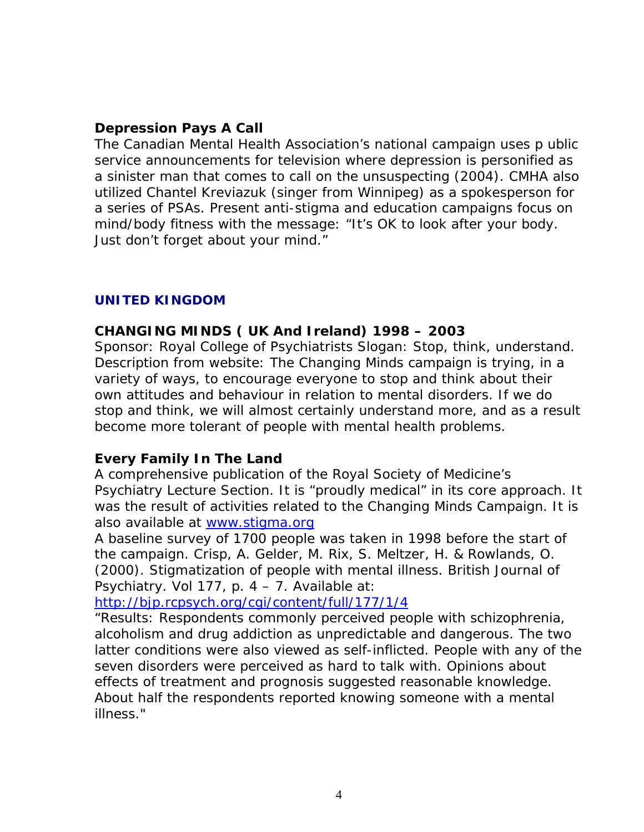## **Depression Pays A Call**

The Canadian Mental Health Association's national campaign uses p ublic service announcements for television where depression is personified as a sinister man that comes to call on the unsuspecting (2004). CMHA also utilized Chantel Kreviazuk (singer from Winnipeg) as a spokesperson for a series of PSAs. Present anti-stigma and education campaigns focus on mind/body fitness with the message: "It's OK to look after your body. Just don't forget about your mind."

#### **UNITED KINGDOM**

#### **CHANGING MINDS ( UK And Ireland) 1998 – 2003**

Sponsor: Royal College of Psychiatrists Slogan: Stop, think, understand. Description from website: The Changing Minds campaign is trying, in a variety of ways, to encourage everyone to stop and think about their own attitudes and behaviour in relation to mental disorders. If we do stop and think, we will almost certainly understand more, and as a result become more tolerant of people with mental health problems.

#### **Every Family In The Land**

A comprehensive publication of the Royal Society of Medicine's Psychiatry Lecture Section. It is "proudly medical" in its core approach. It was the result of activities related to the Changing Minds Campaign. It is also available at [www.stigma.org](http://www.stigma.org/)

A baseline survey of 1700 people was taken in 1998 before the start of the campaign. Crisp, A. Gelder, M. Rix, S. Meltzer, H. & Rowlands, O. (2000). Stigmatization of people with mental illness. British Journal of Psychiatry. Vol 177, p. 4 – 7. Available at:

<http://bjp.rcpsych.org/cgi/content/full/177/1/4>

"Results: Respondents commonly perceived people with schizophrenia, alcoholism and drug addiction as unpredictable and dangerous. The two latter conditions were also viewed as self-inflicted. People with any of the seven disorders were perceived as hard to talk with. Opinions about effects of treatment and prognosis suggested reasonable knowledge. About half the respondents reported knowing someone with a mental illness."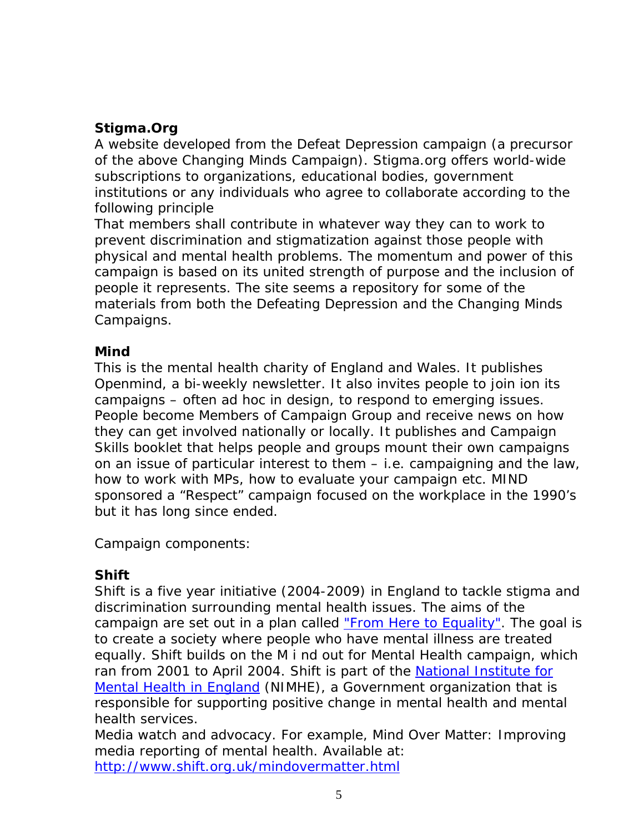# **Stigma.Org**

A website developed from the Defeat Depression campaign (a precursor of the above Changing Minds Campaign). Stigma.org offers world-wide subscriptions to organizations, educational bodies, government institutions or any individuals who agree to collaborate according to the following principle

That members shall contribute in whatever way they can to work to prevent discrimination and stigmatization against those people with physical and mental health problems. The momentum and power of this campaign is based on its united strength of purpose and the inclusion of people it represents. The site seems a repository for some of the materials from both the Defeating Depression and the Changing Minds Campaigns.

## **Mind**

This is the mental health charity of England and Wales. It publishes Openmind, a bi-weekly newsletter. It also invites people to join ion its campaigns – often ad hoc in design, to respond to emerging issues. People become Members of Campaign Group and receive news on how they can get involved nationally or locally. It publishes and Campaign Skills booklet that helps people and groups mount their own campaigns on an issue of particular interest to them – i.e. campaigning and the law, how to work with MPs, how to evaluate your campaign etc. MIND sponsored a "Respect" campaign focused on the workplace in the 1990's but it has long since ended.

Campaign components:

## **Shift**

Shift is a five year initiative (2004-2009) in England to tackle stigma and discrimination surrounding mental health issues. The aims of the campaign are set out in a plan called ["From Here to Equality".](http://kc.nimhe.org.uk/upload/FIVE%20YEAR%20STIGMA%20AND%20DISC%20PLAN.pdf) The goal is to create a society where people who have mental illness are treated equally. Shift builds on the *M* i nd out for Mental Health campaign, which ran from 2001 to April 2004. Shift is part of the [National Institute for](http://www.nimhe.org.uk/)  [Mental Health in England](http://www.nimhe.org.uk/) (NIMHE), a Government organization that is responsible for supporting positive change in mental health and mental health services.

Media watch and advocacy. For example, Mind Over Matter: Improving media reporting of mental health. Available at: <http://www.shift.org.uk/mindovermatter.html>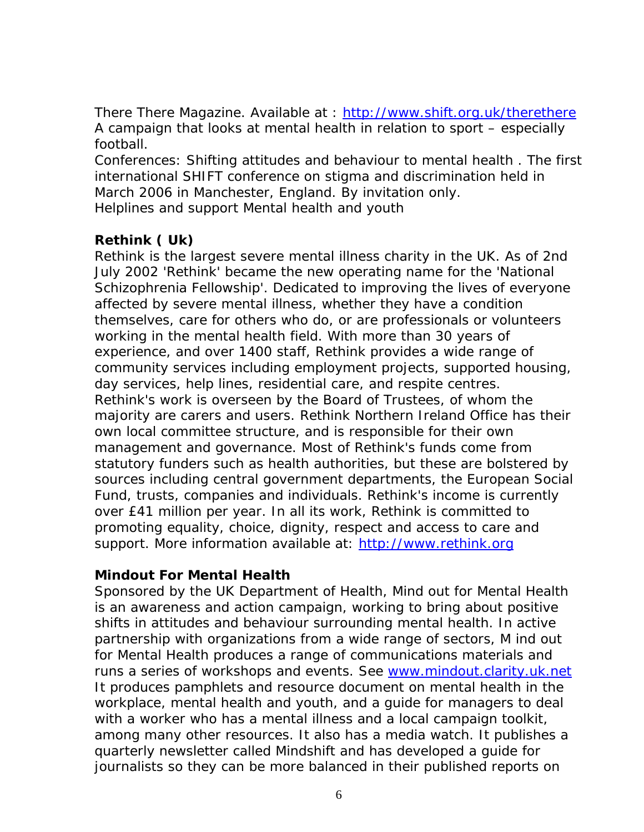There There Magazine. Available at :<http://www.shift.org.uk/therethere> A campaign that looks at mental health in relation to sport – especially football.

Conferences: *Shifting attitudes and behaviour to mental health* . The first international SHIFT conference on stigma and discrimination held in *March 2006* in Manchester, England. By invitation only. Helplines and support Mental health and youth

## **Rethink ( Uk)**

Rethink is the largest severe mental illness charity in the UK. As of 2nd July 2002 'Rethink' became the new operating name for the 'National Schizophrenia Fellowship'. Dedicated to improving the lives of everyone affected by severe mental illness, whether they have a condition themselves, care for others who do, or are professionals or volunteers working in the mental health field. With more than 30 years of experience, and over 1400 staff, Rethink provides a wide range of community services including employment projects, supported housing, day services, help lines, residential care, and respite centres. Rethink's work is overseen by the Board of Trustees, of whom the majority are carers and users. Rethink Northern Ireland Office has their own local committee structure, and is responsible for their own management and governance. Most of Rethink's funds come from statutory funders such as health authorities, but these are bolstered by sources including central government departments, the European Social Fund, trusts, companies and individuals. Rethink's income is currently over £41 million per year. In all its work, Rethink is committed to promoting equality, choice, dignity, respect and access to care and support. More information available at: [http://www.rethink.org](http://www.rethink.org/)

## **Mindout For Mental Health**

Sponsored by the UK Department of Health, Mind out for Mental Health is an awareness and action campaign, working to bring about positive shifts in attitudes and behaviour surrounding mental health. In active partnership with organizations from a wide range of sectors, M ind out for Mental Health produces a range of communications materials and runs a series of workshops and events. See [www.mindout.clarity.uk.net](http://www.mindout.clarity.uk.net/) It produces pamphlets and resource document on mental health in the workplace, mental health and youth, and a guide for managers to deal with a worker who has a mental illness and a local campaign toolkit, among many other resources. It also has a media watch. It publishes a quarterly newsletter called Mindshift and has developed a guide for journalists so they can be more balanced in their published reports on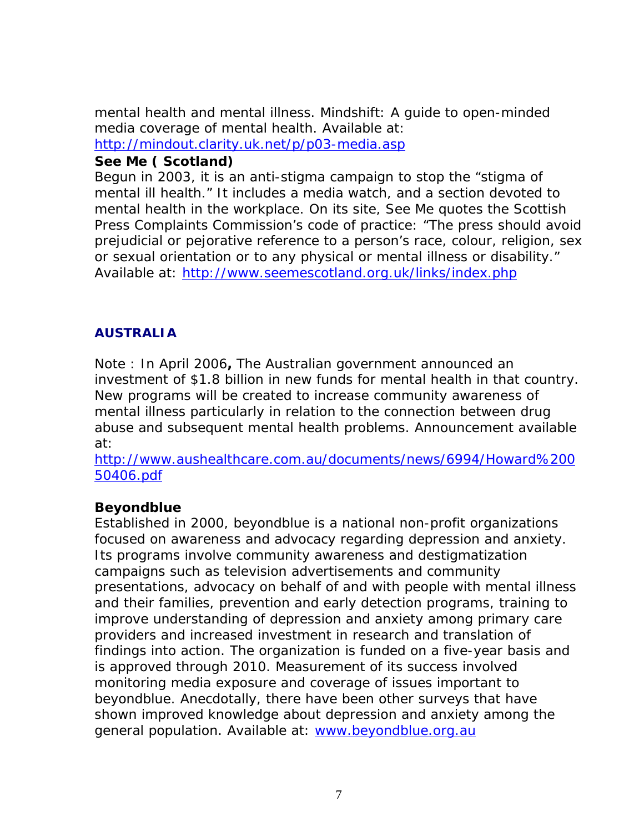mental health and mental illness. Mindshift: A guide to open-minded media coverage of mental health. Available at: [ht](http://www.seemescotland.org.uk/links/index.php)tp://mindout.clarity.uk.net/p/p03-media.asp

### **See Me ( Scotland)**

Begun in 2003, it is an anti-stigma campaign to stop the "stigma of mental ill health." It includes a media watch, and a section devoted to mental health in the workplace. On its site, See Me quotes the Scottish Press Complaints Commission's code of practice: "The press should avoid prejudicial or pejorative reference to a person's race, colour, religion, sex or sexual orientation or to any physical or mental illness or disability." Available at:<http://www.seemescotland.org.uk/links/index.php>

## **AUSTRALIA**

Note : In April 2006**,** The Australian government announced an investment of \$1.8 billion in new funds for mental health in that country. New programs will be created to increase community awareness of mental illness particularly in relation to the connection between drug abuse and subsequent mental health problems. Announcement available at:

[http://www.aushealthcare.com.au/documents/news/6994/Howard%200](http://www.aushealthcare.com.au/documents/news/6994/Howard%20050406.pdf) [50406.pdf](http://www.aushealthcare.com.au/documents/news/6994/Howard%20050406.pdf)

## **Beyondblue**

Established in 2000, beyondblue is a national non-profit organizations focused on awareness and advocacy regarding depression and anxiety. Its programs involve community awareness and destigmatization campaigns such as television advertisements and community presentations, advocacy on behalf of and with people with mental illness and their families, prevention and early detection programs, training to improve understanding of depression and anxiety among primary care providers and increased investment in research and translation of findings into action. The organization is funded on a five-year basis and is approved through 2010. Measurement of its success involved monitoring media exposure and coverage of issues important to beyondblue. Anecdotally, there have been other surveys that have shown improved knowledge about depression and anxiety among the general population. Available at: [www.beyondblue.org.au](http://www.beyondblue.org.au/)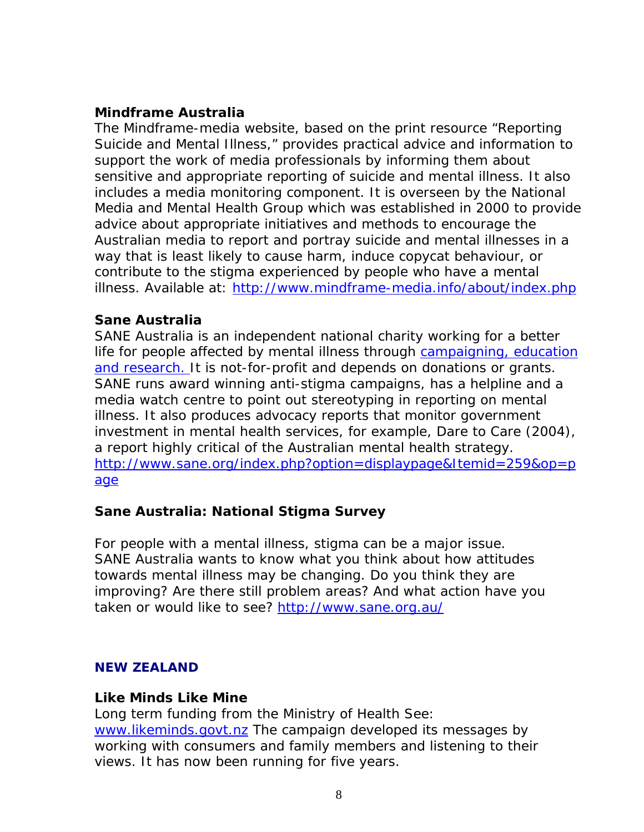### **Mindframe Australia**

The Mindframe-media website, based on the print resource "Reporting Suicide and Mental Illness," provides practical advice and information to support the work of media professionals by informing them about sensitive and appropriate reporting of suicide and mental illness. It also includes a media monitoring component. It is overseen by the National Media and Mental Health Group which was established in 2000 to provide advice about appropriate initiatives and methods to encourage the Australian media to report and portray suicide and mental illnesses in a way that is least likely to cause harm, induce copycat behaviour, or contribute to the stigma experienced by people who have a mental illness. Available at: <http://www.mindframe-media.info/about/index.php>

#### **Sane Australia**

SANE Australia is an independent national charity working for a better life for people affected by mental illness through [campaigning, education](http://www.sane.org/index.php?option=displaypage&Itemid=206&op=page)  [and research. I](http://www.sane.org/index.php?option=displaypage&Itemid=206&op=page)t is not-for-profit and depends on donations or grants. SANE runs award winning anti-stigma campaigns, has a helpline and a media watch centre to point out stereotyping in reporting on mental illness. It also produces advocacy reports that monitor government investment in mental health services, for example, Dare to Care (2004), a report highly critical of the Australian mental health strategy. [http://www.sane.org/index.php?option=displaypage&Itemid=259&op=p](http://www.sane.org/index.php?option=displaypage&Itemid=259&op=page) [age](http://www.sane.org/index.php?option=displaypage&Itemid=259&op=page)

## **Sane Australia: National Stigma Survey**

For people with a mental illness, stigma can be a major issue. SANE Australia wants to know what you think about how attitudes towards mental illness may be changing. Do you think they are improving? Are there still problem areas? And what action have you taken or would like to see?<http://www.sane.org.au/>

#### **NEW ZEALAND**

#### **Like Minds Like Mine**

Long term funding from the Ministry of Health See: [www.likeminds.govt.nz](http://www.likeminds.govt.nz/) The campaign developed its messages by working with consumers and family members and listening to their views. It has now been running for five years.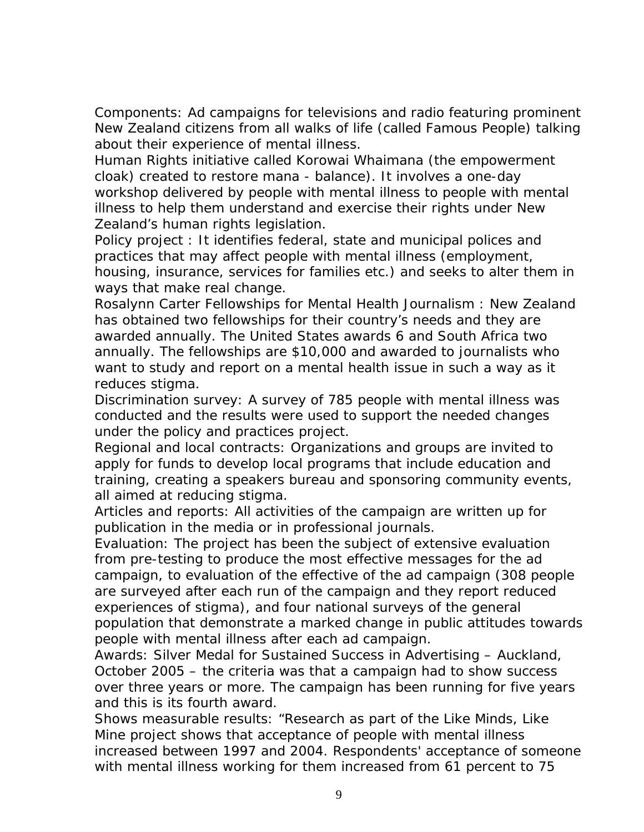Components: *Ad campaigns* for televisions and radio featuring prominent New Zealand citizens from all walks of life (called Famous People) talking about their experience of mental illness.

*Human Rights* initiative called Korowai Whaimana (the empowerment cloak) created to restore mana - balance). It involves a one-day workshop delivered by people with mental illness to people with mental illness to help them understand and exercise their rights under New Zealand's human rights legislation.

*Policy project* : It identifies federal, state and municipal polices and practices that may affect people with mental illness (employment, housing, insurance, services for families etc.) and seeks to alter them in ways that make real change.

*Rosalynn Carter Fellowships for Mental Health Journalism* : New Zealand has obtained two fellowships for their country's needs and they are awarded annually. The United States awards 6 and South Africa two annually. The fellowships are \$10,000 and awarded to journalists who want to study and report on a mental health issue in such a way as it reduces stigma.

*Discrimination survey:* A survey of 785 people with mental illness was conducted and the results were used to support the needed changes under the policy and practices project.

*Regional and local contracts:* Organizations and groups are invited to apply for funds to develop local programs that include education and training, creating a speakers bureau and sponsoring community events, all aimed at reducing stigma.

*Articles and reports:* All activities of the campaign are written up for publication in the media or in professional journals.

*Evaluation:* The project has been the subject of extensive evaluation from pre-testing to produce the most effective messages for the ad campaign, to evaluation of the effective of the ad campaign (308 people are surveyed after each run of the campaign and they report reduced experiences of stigma), and four national surveys of the general population that demonstrate a marked change in public attitudes towards people with mental illness after each ad campaign.

Awards: Silver Medal for Sustained Success in Advertising – Auckland, October 2005 – the criteria was that a campaign had to show success over three years or more. The campaign has been running for five years and this is its fourth award.

*Shows measurable results:* "Research as part of the Like Minds, Like Mine project shows that acceptance of people with mental illness increased between 1997 and 2004. Respondents' acceptance of someone with mental illness working for them increased from 61 percent to 75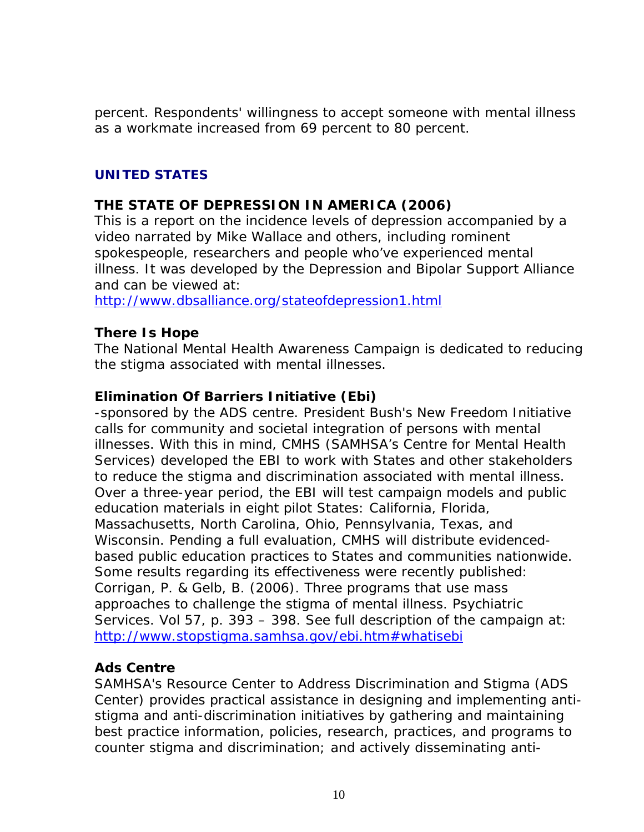percent. Respondents' willingness to accept someone with mental illness as a workmate increased from 69 percent to 80 percent.

#### **UNITED STATES**

## **THE STATE OF DEPRESSION IN AMERICA (2006)**

This is a report on the incidence levels of depression accompanied by a video narrated by Mike Wallace and others, including rominent spokespeople, researchers and people who've experienced mental illness. It was developed by the Depression and Bipolar Support Alliance and can be viewed at:

<http://www.dbsalliance.org/stateofdepression1.html>

#### **There Is Hope**

The National Mental Health Awareness Campaign is dedicated to reducing the stigma associated with mental illnesses.

#### **Elimination Of Barriers Initiative (Ebi)**

-sponsored by the ADS centre. President Bush's New Freedom Initiative calls for community and societal integration of persons with mental illnesses. With this in mind, CMHS (SAMHSA's Centre for Mental Health Services) developed the EBI to work with States and other stakeholders to reduce the stigma and discrimination associated with mental illness. Over a three-year period, the EBI will test campaign models and public education materials in eight pilot States: California, Florida, Massachusetts, North Carolina, Ohio, Pennsylvania, Texas, and Wisconsin. Pending a full evaluation, CMHS will distribute evidencedbased public education practices to States and communities nationwide. Some results regarding its effectiveness were recently published: Corrigan, P. & Gelb, B. (2006). Three programs that use mass approaches to challenge the stigma of mental illness. Psychiatric Services. Vol 57, p. 393 – 398. See full description of the campaign at: <http://www.stopstigma.samhsa.gov/ebi.htm#whatisebi>

## **Ads Centre**

SAMHSA's Resource Center to Address Discrimination and Stigma (ADS Center) provides practical assistance in designing and implementing antistigma and anti-discrimination initiatives by gathering and maintaining best practice information, policies, research, practices, and programs to counter stigma and discrimination; and actively disseminating anti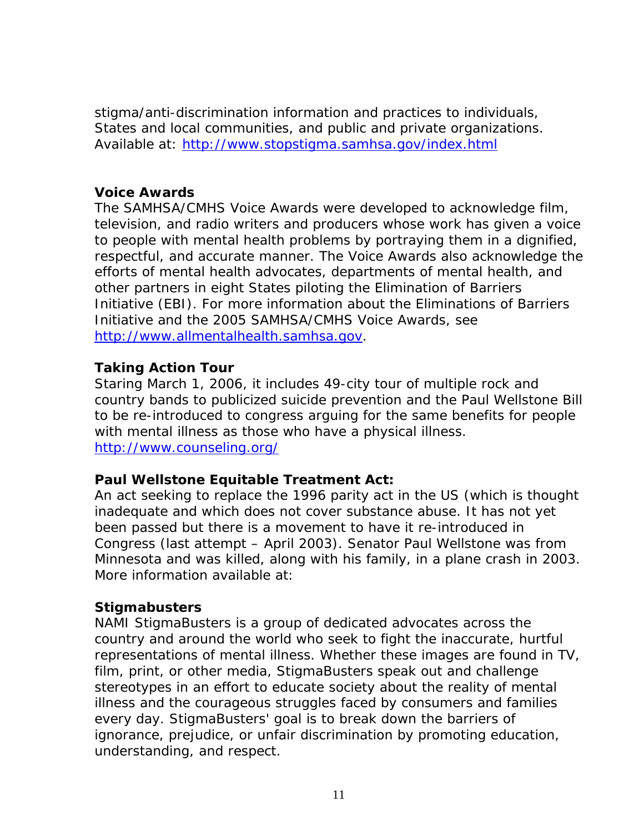stigma/anti-discrimination information and practices to individuals, States and local communities, and public and private organizations. Available at:<http://www.stopstigma.samhsa.gov/index.html>

#### **Voice Awards**

The SAMHSA/CMHS Voice Awards were developed to acknowledge film, television, and radio writers and producers whose work has given a voice to people with mental health problems by portraying them in a dignified, respectful, and accurate manner. The Voice Awards also acknowledge the efforts of mental health advocates, departments of mental health, and other partners in eight States piloting the Elimination of Barriers Initiative (EBI). For more information about the Eliminations of Barriers Initiative and the 2005 SAMHSA/CMHS Voice Awards, see [http://www.allmentalhealth.samhsa.gov.](http://www.allmentalhealth.samhsa.gov/)

#### **Taking Action Tour**

Staring March 1, 2006, it includes 49-city tour of multiple rock and country bands to publicized suicide prevention and the Paul Wellstone Bill to be re-introduced to congress arguing for the same benefits for people with mental illness as those who have a physical illness. [http://www.counseling.org/](http://www.counseling.org/Content/NavigationMenu/PUBLICPOLICY/WASHINGTONUPDATEARCHIVESCTONLINE/WellstoneMentalHealt.htm)

## **Paul Wellstone Equitable Treatment Act:**

An act seeking to replace the 1996 parity act in the US (which is thought inadequate and which does not cover substance abuse. It has not yet been passed but there is a movement to have it re-introduced in Congress (last attempt – April 2003). Senator Paul Wellstone was from Minnesota and was killed, along with his family, in a plane crash in 2003. More information available at:

#### **Stigmabusters**

NAMI StigmaBusters is a group of dedicated advocates across the country and around the world who seek to fight the inaccurate, hurtful representations of mental illness. Whether these images are found in TV, film, print, or other media, StigmaBusters speak out and challenge stereotypes in an effort to educate society about the reality of mental illness and the courageous struggles faced by consumers and families every day. StigmaBusters' goal is to break down the barriers of ignorance, prejudice, or unfair discrimination by promoting education, understanding, and respect.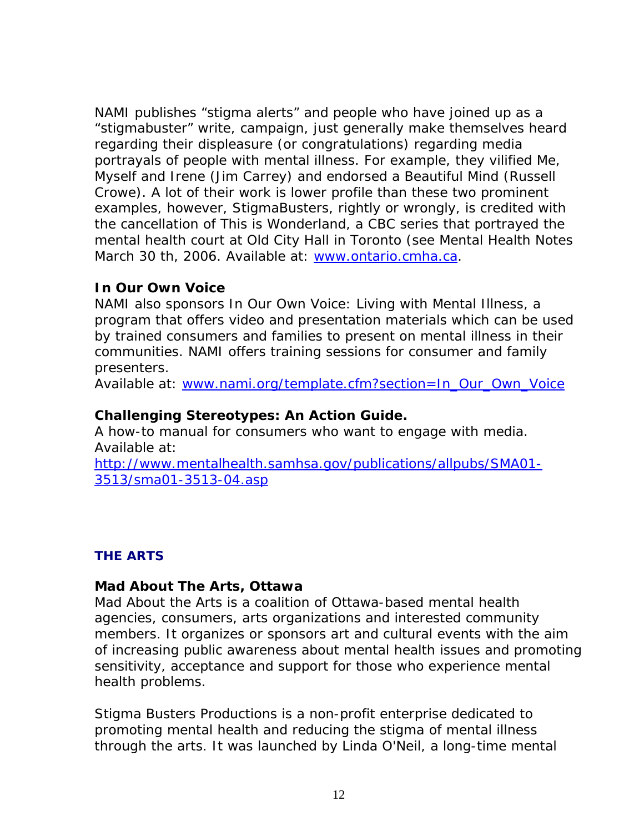NAMI publishes "stigma alerts" and people who have joined up as a "stigmabuster" write, campaign, just generally make themselves heard regarding their displeasure (or congratulations) regarding media portrayals of people with mental illness. For example, they vilified Me, Myself and Irene (Jim Carrey) and endorsed a Beautiful Mind (Russell Crowe). A lot of their work is lower profile than these two prominent examples, however, StigmaBusters, rightly or wrongly, is credited with the cancellation of This is Wonderland, a CBC series that portrayed the mental health court at Old City Hall in Toronto (see Mental Health Notes March 30 th, 2006. Available at: [www.ontario.cmha.ca](http://www.ontario.cmha.ca/).

#### **In Our Own Voice**

NAMI also sponsors In Our Own Voice: Living with Mental Illness, a program that offers video and presentation materials which can be used by trained consumers and families to present on mental illness in their communities. NAMI offers training sessions for consumer and family presenters.

Available at: [www.nami.org/template.cfm?section=In\\_Our\\_Own\\_Voice](http://www.nami.org/template.cfm?section=In_Our_Own_Voice)

#### **Challenging Stereotypes: An Action Guide.**

A how-to manual for consumers who want to engage with media. Available at:

[http://www.mentalhealth.samhsa.gov/publications/allpubs/SMA01-](http://www.mentalhealth.samhsa.gov/publications/allpubs/SMA01-3513/sma01-3513-04.asp) [3513/sma01-3513-04.asp](http://www.mentalhealth.samhsa.gov/publications/allpubs/SMA01-3513/sma01-3513-04.asp)

## **THE ARTS**

#### **Mad About The Arts, Ottawa**

Mad About the Arts is a coalition of Ottawa-based mental health agencies, consumers, arts organizations and interested community members. It organizes or sponsors art and cultural events with the aim of increasing public awareness about mental health issues and promoting sensitivity, acceptance and support for those who experience mental health problems.

Stigma Busters Productions is a non-profit enterprise dedicated to promoting mental health and reducing the stigma of mental illness through the arts. It was launched by Linda O'Neil, a long-time mental